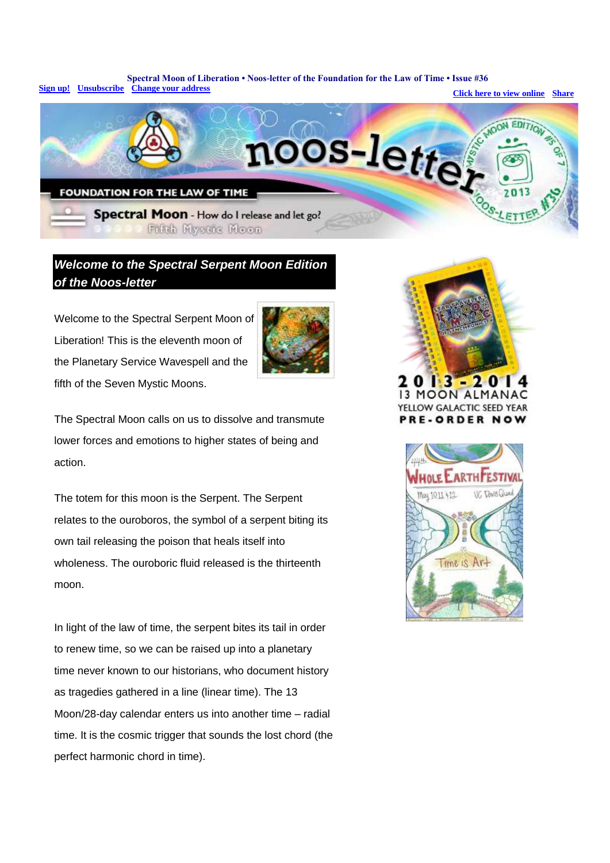**Spectral Moon of Liberation • Noos-letter of the Foundation for the Law of Time • Issue #36 [Sign up!](http://app.streamsend.com/public/tUGM/Cl2/subscribe/18535723) [Unsubscribe](http://app.streamsend.com/private/tUGM/Cl2/gxUUPrJ/unsubscribe/18535723) [Change your address](http://app.streamsend.com/private/tUGM/Cl2/gxUUPrJ/profile/18535723) Transfer 2008 [Click here to view online](http://app.streamsend.com/private/tUGM/Cl2/gxUUPrJ/browse/18535723) [Share](http://app.streamsend.com/private/tUGM/b/qMFYTx1/p/gxUUPrJ/shares/new)** 



## *Welcome to the Spectral Serpent Moon Edition of the Noos-letter*

Welcome to the Spectral Serpent Moon of Liberation! This is the eleventh moon of the Planetary Service Wavespell and the fifth of the Seven Mystic Moons.



The Spectral Moon calls on us to dissolve and transmute lower forces and emotions to higher states of being and action.

The totem for this moon is the Serpent. The Serpent relates to the ouroboros, the symbol of a serpent biting its own tail releasing the poison that heals itself into wholeness. The ouroboric fluid released is the thirteenth moon.

In light of the law of time, the serpent bites its tail in order to renew time, so we can be raised up into a planetary time never known to our historians, who document history as tragedies gathered in a line (linear time). The 13 Moon/28-day calendar enters us into another time – radial time. It is the cosmic trigger that sounds the lost chord (the perfect harmonic chord in time).



YELLOW GALACTIC SEED YEAR **PRE-ORDER NOW** 

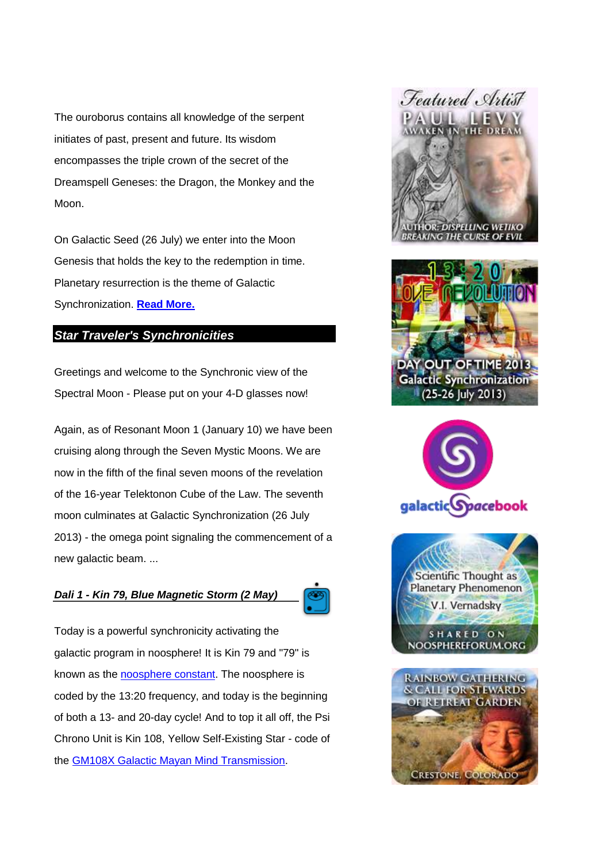The ouroborus contains all knowledge of the serpent initiates of past, present and future. Its wisdom encompasses the triple crown of the secret of the Dreamspell Geneses: the Dragon, the Monkey and the Moon.

On Galactic Seed (26 July) we enter into the Moon Genesis that holds the key to the redemption in time. Planetary resurrection is the theme of Galactic Synchronization. **[Read More.](http://app.streamsend.com/c/18535723/8583/gxUUPrJ/tUGM?redirect_to=http%3A%2F%2Fwww.lawoftime.org%2Fnoos-letter%2Fissue036-complete.html)**

### *Star Traveler's Synchronicities*

Greetings and welcome to the Synchronic view of the Spectral Moon - Please put on your 4-D glasses now!

Again, as of Resonant Moon 1 (January 10) we have been cruising along through the Seven Mystic Moons. We are now in the fifth of the final seven moons of the revelation of the 16-year Telektonon Cube of the Law. The seventh moon culminates at Galactic Synchronization (26 July 2013) - the omega point signaling the commencement of a new galactic beam. ...

#### *Dali 1 - Kin 79, Blue Magnetic Storm (2 May)*



Today is a powerful synchronicity activating the galactic program in noosphere! It is Kin 79 and "79" is known as the [noosphere constant.](http://app.streamsend.com/c/18535723/8585/gxUUPrJ/tUGM?redirect_to=http%3A%2F%2Fwww.lawoftime.org%2Fpdfs%2Frinri-III-5-1.pdf%23page%3D9) The noosphere is coded by the 13:20 frequency, and today is the beginning of both a 13- and 20-day cycle! And to top it all off, the Psi Chrono Unit is Kin 108, Yellow Self-Existing Star - code of the [GM108X Galactic Mayan Mind Transmission.](http://app.streamsend.com/c/18535723/8587/gxUUPrJ/tUGM?redirect_to=http%3A%2F%2Fwww.lawoftime.org%2Fcosmichistory.html)

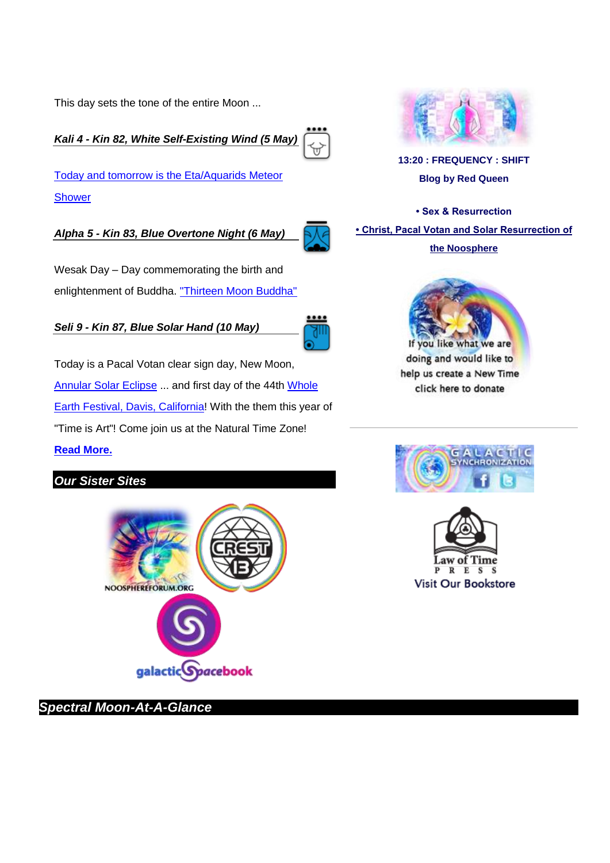This day sets the tone of the entire Moon ...

*Kali 4 - Kin 82, White Self-Existing Wind (5 May)*

[Today and tomorrow is the Eta/Aquarids Meteor](http://app.streamsend.com/c/18535723/8589/gxUUPrJ/tUGM?redirect_to=http%3A%2F%2Fearthsky.org%2Ftonight%2Fstar-hop-to-the-radiant-of-the-eta-aquarids)  [Shower](http://app.streamsend.com/c/18535723/8589/gxUUPrJ/tUGM?redirect_to=http%3A%2F%2Fearthsky.org%2Ftonight%2Fstar-hop-to-the-radiant-of-the-eta-aquarids)

*Alpha 5 - Kin 83, Blue Overtone Night (6 May)*

Wesak Day – Day commemorating the birth and enlightenment of Buddha. ["Thirteen Moon Buddha"](http://app.streamsend.com/c/18535723/8591/gxUUPrJ/tUGM?redirect_to=http%3A%2F%2Fwww.lawoftime.org%2Ftimeshipearth%2Farticlesbyvv%2Fthirteen-moon-buddha.html) 

*Seli 9 - Kin 87, Blue Solar Hand (10 May)*

Today is a Pacal Votan clear sign day, New Moon, [Annular Solar Eclipse](http://app.streamsend.com/c/18535723/8593/gxUUPrJ/tUGM?redirect_to=http%3A%2F%2Feclipse.gsfc.nasa.gov%2FSEgoogle%2FSEgoogle2001%2FSE2013May10Agoogle.html) ... and first day of the 44th Whole [Earth Festival, Davis, California!](http://app.streamsend.com/c/18535723/8595/gxUUPrJ/tUGM?redirect_to=http%3A%2F%2Fwef.ucdavis.edu%2F) With the them this year of "Time is Art"! Come join us at the Natural Time Zone! **[Read More.](http://app.streamsend.com/c/18535723/8597/gxUUPrJ/tUGM?redirect_to=http%3A%2F%2Fwww.lawoftime.org%2Fnoos-letter%2Fissue036-complete.html)**

## *Our Sister Sites*



*Spectral Moon-At-A-Glance*



**[13:20 : FREQUENCY : SHIFT](http://app.streamsend.com/c/18535723/8619/gxUUPrJ/tUGM?redirect_to=http%3A%2F%2F1320frequencyshift.wordpress.com) [Blog by Red Queen](http://app.streamsend.com/c/18535723/8619/gxUUPrJ/tUGM?redirect_to=http%3A%2F%2F1320frequencyshift.wordpress.com)**

**[• Sex & Resurrection](http://app.streamsend.com/c/18535723/8621/gxUUPrJ/tUGM?redirect_to=http%3A%2F%2F1320frequencyshift.wordpress.com%2F2013%2F04%2F18%2Fsex-and-resurrection%2F) [• Christ, Pacal Votan and Solar Resurrection of](http://app.streamsend.com/c/18535723/8623/gxUUPrJ/tUGM?redirect_to=http%3A%2F%2F1320frequencyshift.wordpress.com%2F2013%2F04%2F11%2Fchrist-pacal-votan-and-solar-resurrection-of-noosphere%2F)** 

**[the Noosphere](http://app.streamsend.com/c/18535723/8623/gxUUPrJ/tUGM?redirect_to=http%3A%2F%2F1320frequencyshift.wordpress.com%2F2013%2F04%2F11%2Fchrist-pacal-votan-and-solar-resurrection-of-noosphere%2F)**



doing and would like to help us create a New Time click here to donate